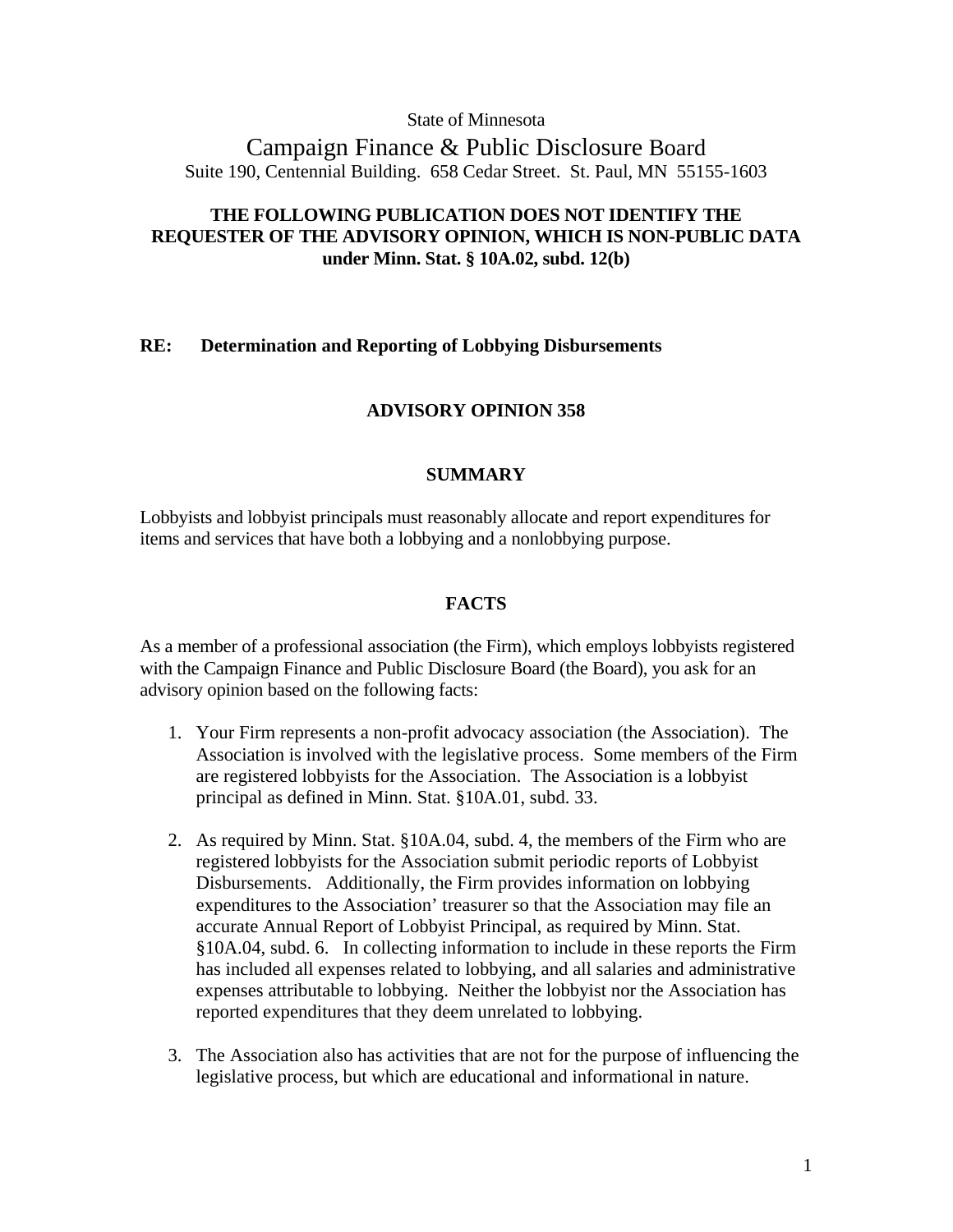State of Minnesota

Campaign Finance & Public Disclosure Board Suite 190, Centennial Building. 658 Cedar Street. St. Paul, MN 55155-1603

# **THE FOLLOWING PUBLICATION DOES NOT IDENTIFY THE REQUESTER OF THE ADVISORY OPINION, WHICH IS NON-PUBLIC DATA under Minn. Stat. § 10A.02, subd. 12(b)**

## **RE: Determination and Reporting of Lobbying Disbursements**

# **ADVISORY OPINION 358**

## **SUMMARY**

Lobbyists and lobbyist principals must reasonably allocate and report expenditures for items and services that have both a lobbying and a nonlobbying purpose.

## **FACTS**

As a member of a professional association (the Firm), which employs lobbyists registered with the Campaign Finance and Public Disclosure Board (the Board), you ask for an advisory opinion based on the following facts:

- 1. Your Firm represents a non-profit advocacy association (the Association). The Association is involved with the legislative process. Some members of the Firm are registered lobbyists for the Association. The Association is a lobbyist principal as defined in Minn. Stat. §10A.01, subd. 33.
- 2. As required by Minn. Stat. §10A.04, subd. 4, the members of the Firm who are registered lobbyists for the Association submit periodic reports of Lobbyist Disbursements. Additionally, the Firm provides information on lobbying expenditures to the Association' treasurer so that the Association may file an accurate Annual Report of Lobbyist Principal, as required by Minn. Stat. §10A.04, subd. 6. In collecting information to include in these reports the Firm has included all expenses related to lobbying, and all salaries and administrative expenses attributable to lobbying. Neither the lobbyist nor the Association has reported expenditures that they deem unrelated to lobbying.
- 3. The Association also has activities that are not for the purpose of influencing the legislative process, but which are educational and informational in nature.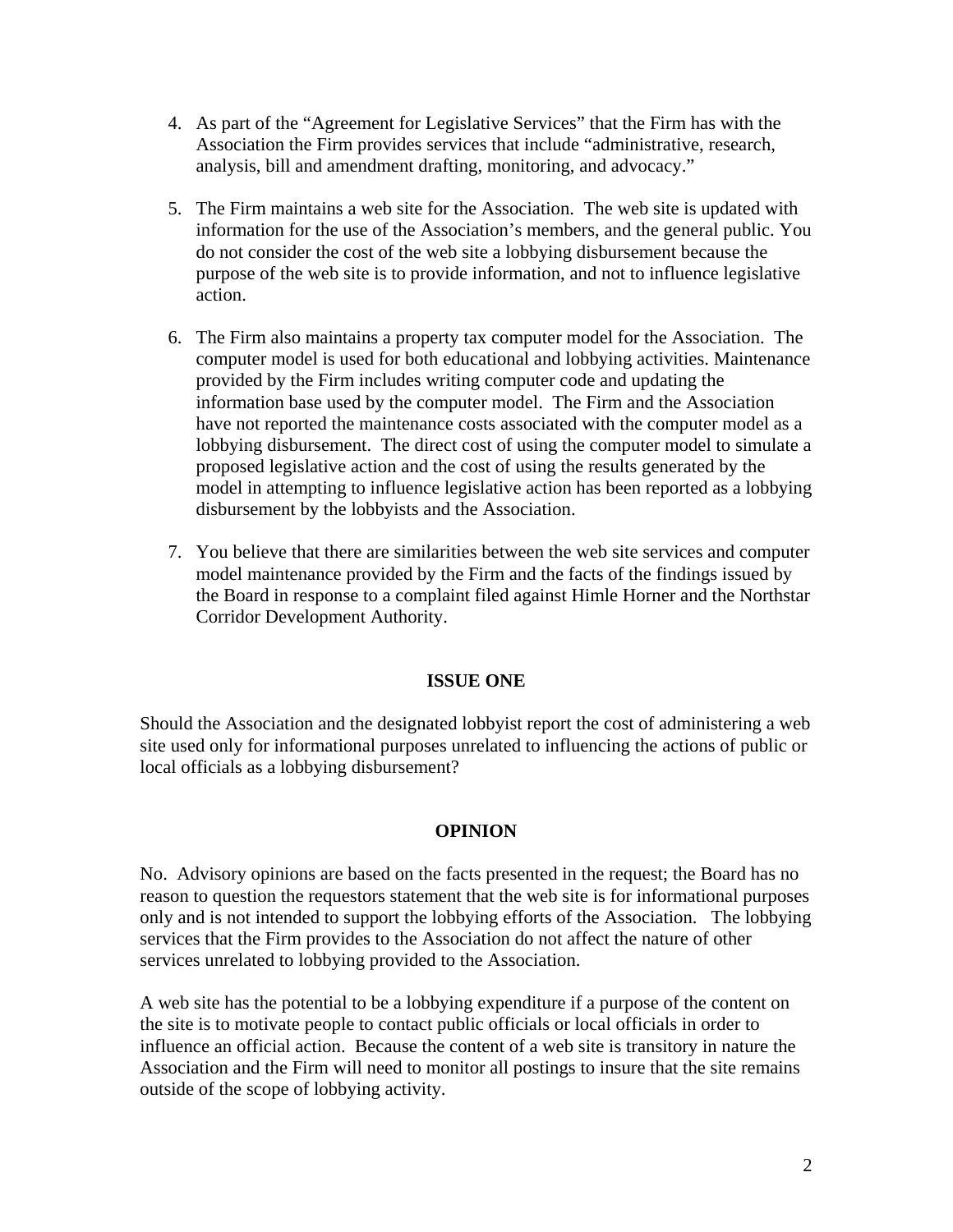- 4. As part of the "Agreement for Legislative Services" that the Firm has with the Association the Firm provides services that include "administrative, research, analysis, bill and amendment drafting, monitoring, and advocacy."
- 5. The Firm maintains a web site for the Association. The web site is updated with information for the use of the Association's members, and the general public. You do not consider the cost of the web site a lobbying disbursement because the purpose of the web site is to provide information, and not to influence legislative action.
- 6. The Firm also maintains a property tax computer model for the Association. The computer model is used for both educational and lobbying activities. Maintenance provided by the Firm includes writing computer code and updating the information base used by the computer model. The Firm and the Association have not reported the maintenance costs associated with the computer model as a lobbying disbursement. The direct cost of using the computer model to simulate a proposed legislative action and the cost of using the results generated by the model in attempting to influence legislative action has been reported as a lobbying disbursement by the lobbyists and the Association.
- 7. You believe that there are similarities between the web site services and computer model maintenance provided by the Firm and the facts of the findings issued by the Board in response to a complaint filed against Himle Horner and the Northstar Corridor Development Authority.

# **ISSUE ONE**

Should the Association and the designated lobbyist report the cost of administering a web site used only for informational purposes unrelated to influencing the actions of public or local officials as a lobbying disbursement?

# **OPINION**

No. Advisory opinions are based on the facts presented in the request; the Board has no reason to question the requestors statement that the web site is for informational purposes only and is not intended to support the lobbying efforts of the Association. The lobbying services that the Firm provides to the Association do not affect the nature of other services unrelated to lobbying provided to the Association.

A web site has the potential to be a lobbying expenditure if a purpose of the content on the site is to motivate people to contact public officials or local officials in order to influence an official action. Because the content of a web site is transitory in nature the Association and the Firm will need to monitor all postings to insure that the site remains outside of the scope of lobbying activity.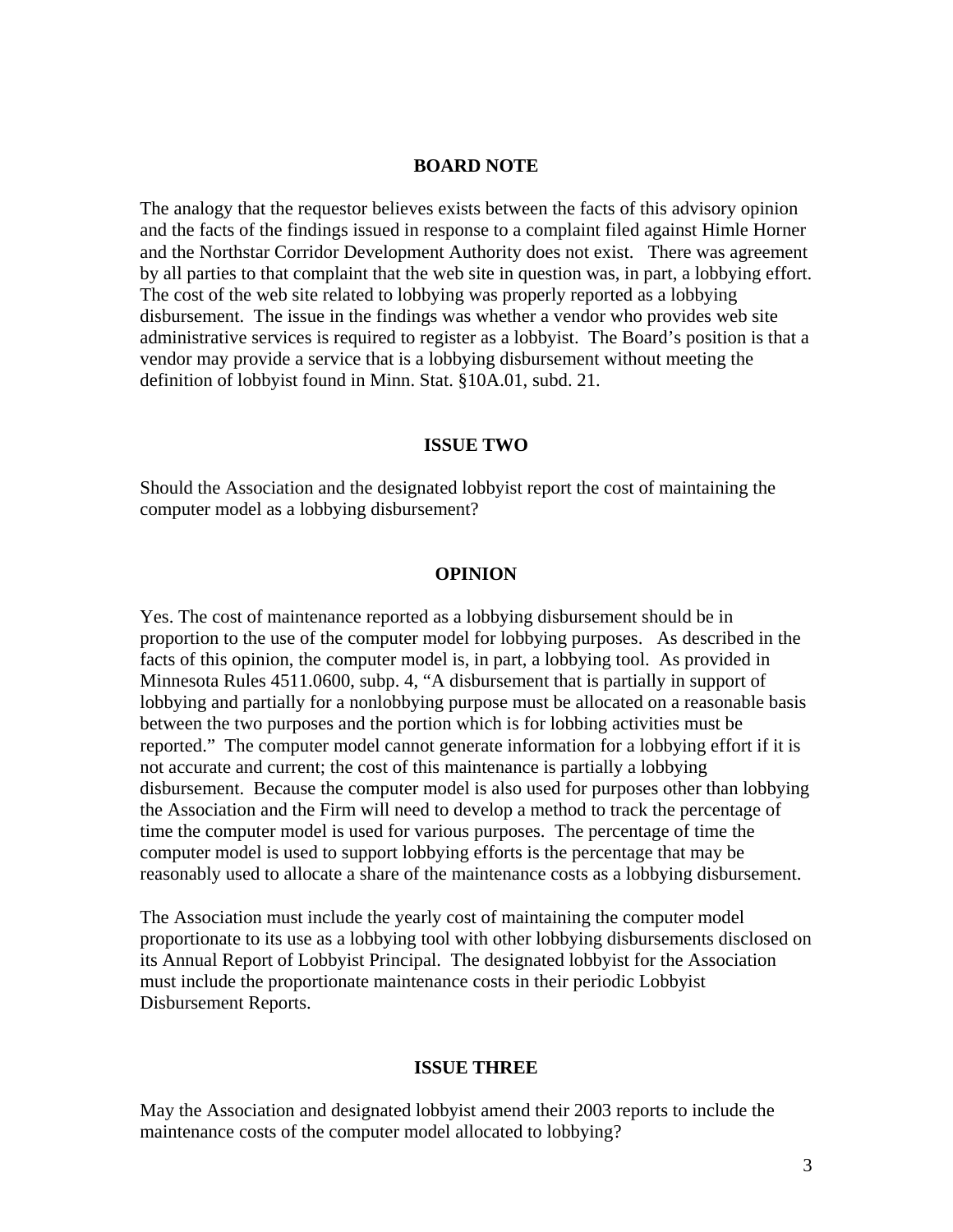## **BOARD NOTE**

The analogy that the requestor believes exists between the facts of this advisory opinion and the facts of the findings issued in response to a complaint filed against Himle Horner and the Northstar Corridor Development Authority does not exist. There was agreement by all parties to that complaint that the web site in question was, in part, a lobbying effort. The cost of the web site related to lobbying was properly reported as a lobbying disbursement. The issue in the findings was whether a vendor who provides web site administrative services is required to register as a lobbyist. The Board's position is that a vendor may provide a service that is a lobbying disbursement without meeting the definition of lobbyist found in Minn. Stat. §10A.01, subd. 21.

#### **ISSUE TWO**

Should the Association and the designated lobbyist report the cost of maintaining the computer model as a lobbying disbursement?

#### **OPINION**

Yes. The cost of maintenance reported as a lobbying disbursement should be in proportion to the use of the computer model for lobbying purposes. As described in the facts of this opinion, the computer model is, in part, a lobbying tool. As provided in Minnesota Rules 4511.0600, subp. 4, "A disbursement that is partially in support of lobbying and partially for a nonlobbying purpose must be allocated on a reasonable basis between the two purposes and the portion which is for lobbing activities must be reported." The computer model cannot generate information for a lobbying effort if it is not accurate and current; the cost of this maintenance is partially a lobbying disbursement. Because the computer model is also used for purposes other than lobbying the Association and the Firm will need to develop a method to track the percentage of time the computer model is used for various purposes. The percentage of time the computer model is used to support lobbying efforts is the percentage that may be reasonably used to allocate a share of the maintenance costs as a lobbying disbursement.

The Association must include the yearly cost of maintaining the computer model proportionate to its use as a lobbying tool with other lobbying disbursements disclosed on its Annual Report of Lobbyist Principal. The designated lobbyist for the Association must include the proportionate maintenance costs in their periodic Lobbyist Disbursement Reports.

## **ISSUE THREE**

May the Association and designated lobbyist amend their 2003 reports to include the maintenance costs of the computer model allocated to lobbying?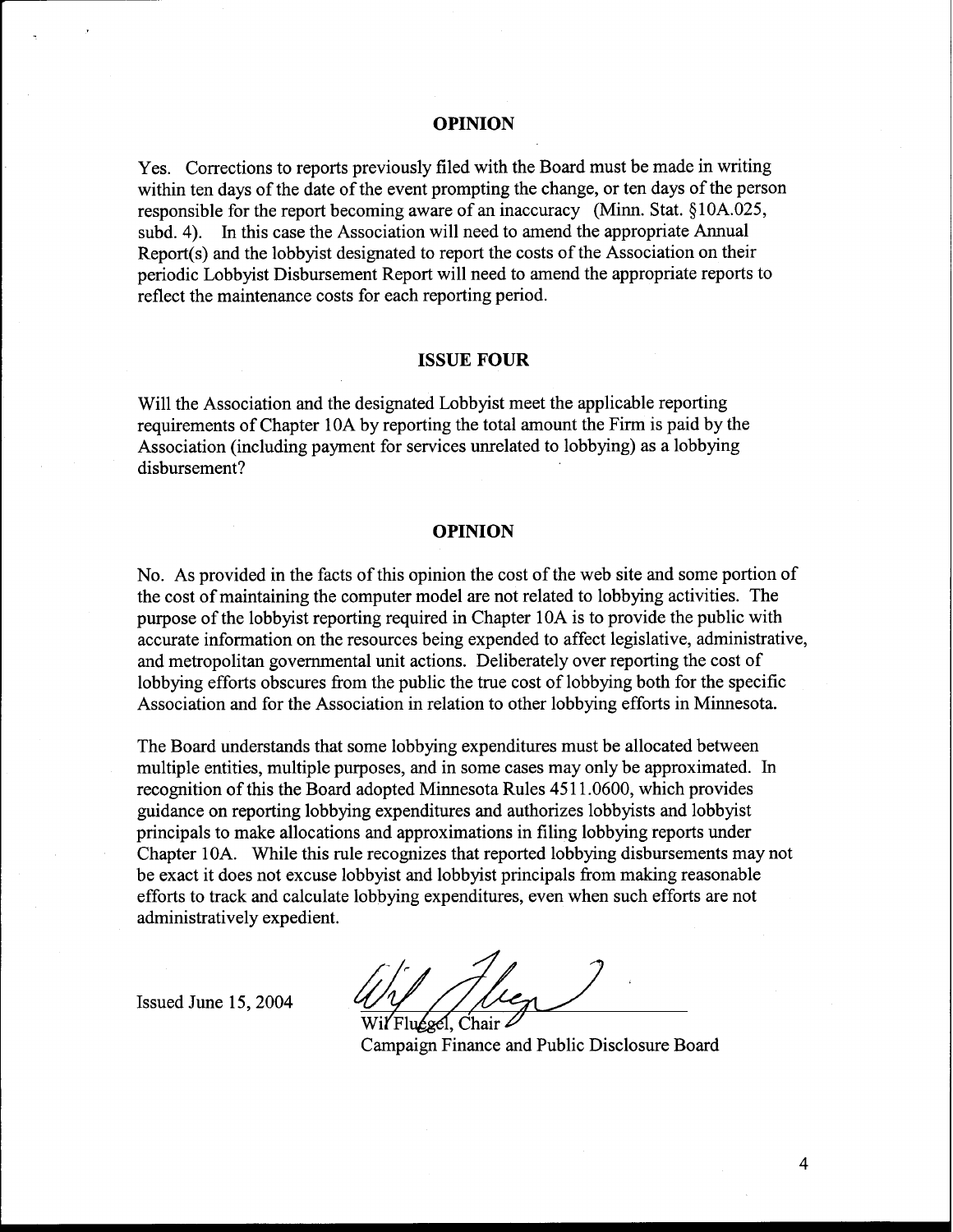#### **OPINION**

Yes. Corrections to reports previously filed with the Board must be made in writing within ten days of the date of the event prompting the change, or ten days of the person responsible for the report becoming aware of an inaccuracy (Minn. Stat. §10A.025, subd. 4). In this case the Association will need to amend the appropriate Annual Report(s) and the lobbyist designated to report the costs of the Association on their periodic Lobbyist Disbursement Report will need to amend the appropriate reports to reflect the maintenance costs for each reporting period.

#### **ISSUE FOUR**

Will the Association and the designated Lobbyist meet the applicable reporting requirements of Chapter 10A by reporting the total amount the Firm is paid by the Association (including payment for services unrelated to lobbying) as a lobbying disbursement?

### **OPINION**

No. As provided in the facts of this opinion the cost of the web site and some portion of the cost of maintaining the computer model are not related to lobbying activities. The purpose of the lobbyist reporting required in Chapter 10A is to provide the public with accurate information on the resources being expended to affect legislative, administrative, and metropolitan governmental unit actions. Deliberately over reporting the cost of lobbying efforts obscures from the public the true cost of lobbying both for the specific Association and for the Association in relation to other lobbying efforts in Minnesota.

The Board understands that some lobbying expenditures must be allocated between multiple entities, multiple purposes, and in some cases may only be approximated. In recognition of this the Board adopted Minnesota Rules 45 1 1.0600, which provides guidance on reporting lobbying expenditures and authorizes lobbyists and lobbyist principals to make allocations and approximations in filing lobbying reports under Chapter 10A. While this rule recognizes that reported lobbying disbursements may not be exact it does not excuse lobbyist and lobbyist principals from making reasonable efforts to track and calculate lobbying expenditures, even when such efforts are not administratively expedient.

Issued June 15,2004

Fluesel. Chair

Campaign Finance and Public Disclosure Board

4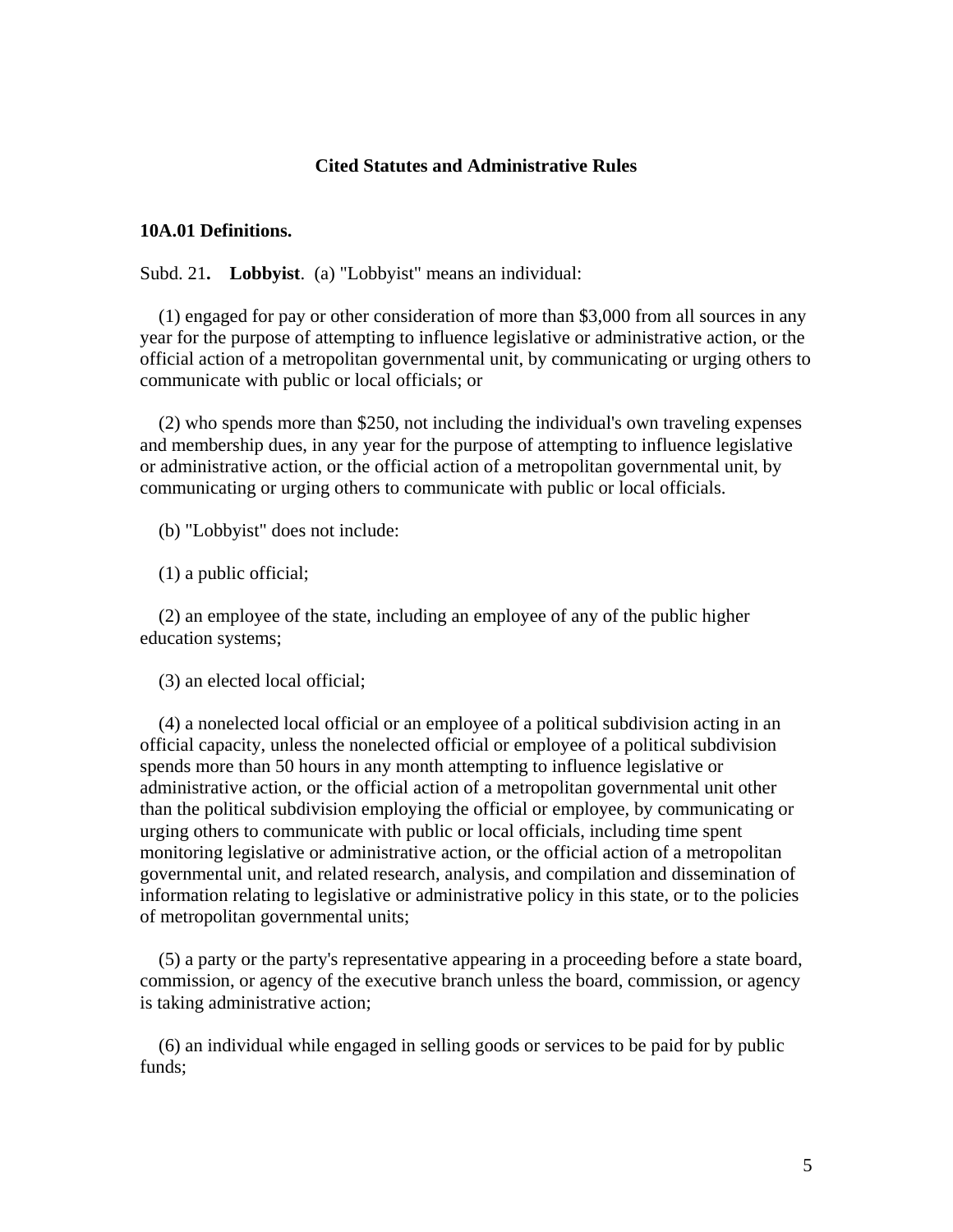## **Cited Statutes and Administrative Rules**

### **10A.01 Definitions.**

Subd. 21**. Lobbyist**. (a) "Lobbyist" means an individual:

 (1) engaged for pay or other consideration of more than \$3,000 from all sources in any year for the purpose of attempting to influence legislative or administrative action, or the official action of a metropolitan governmental unit, by communicating or urging others to communicate with public or local officials; or

 (2) who spends more than \$250, not including the individual's own traveling expenses and membership dues, in any year for the purpose of attempting to influence legislative or administrative action, or the official action of a metropolitan governmental unit, by communicating or urging others to communicate with public or local officials.

(b) "Lobbyist" does not include:

(1) a public official;

 (2) an employee of the state, including an employee of any of the public higher education systems;

(3) an elected local official;

 (4) a nonelected local official or an employee of a political subdivision acting in an official capacity, unless the nonelected official or employee of a political subdivision spends more than 50 hours in any month attempting to influence legislative or administrative action, or the official action of a metropolitan governmental unit other than the political subdivision employing the official or employee, by communicating or urging others to communicate with public or local officials, including time spent monitoring legislative or administrative action, or the official action of a metropolitan governmental unit, and related research, analysis, and compilation and dissemination of information relating to legislative or administrative policy in this state, or to the policies of metropolitan governmental units;

 (5) a party or the party's representative appearing in a proceeding before a state board, commission, or agency of the executive branch unless the board, commission, or agency is taking administrative action;

 (6) an individual while engaged in selling goods or services to be paid for by public funds;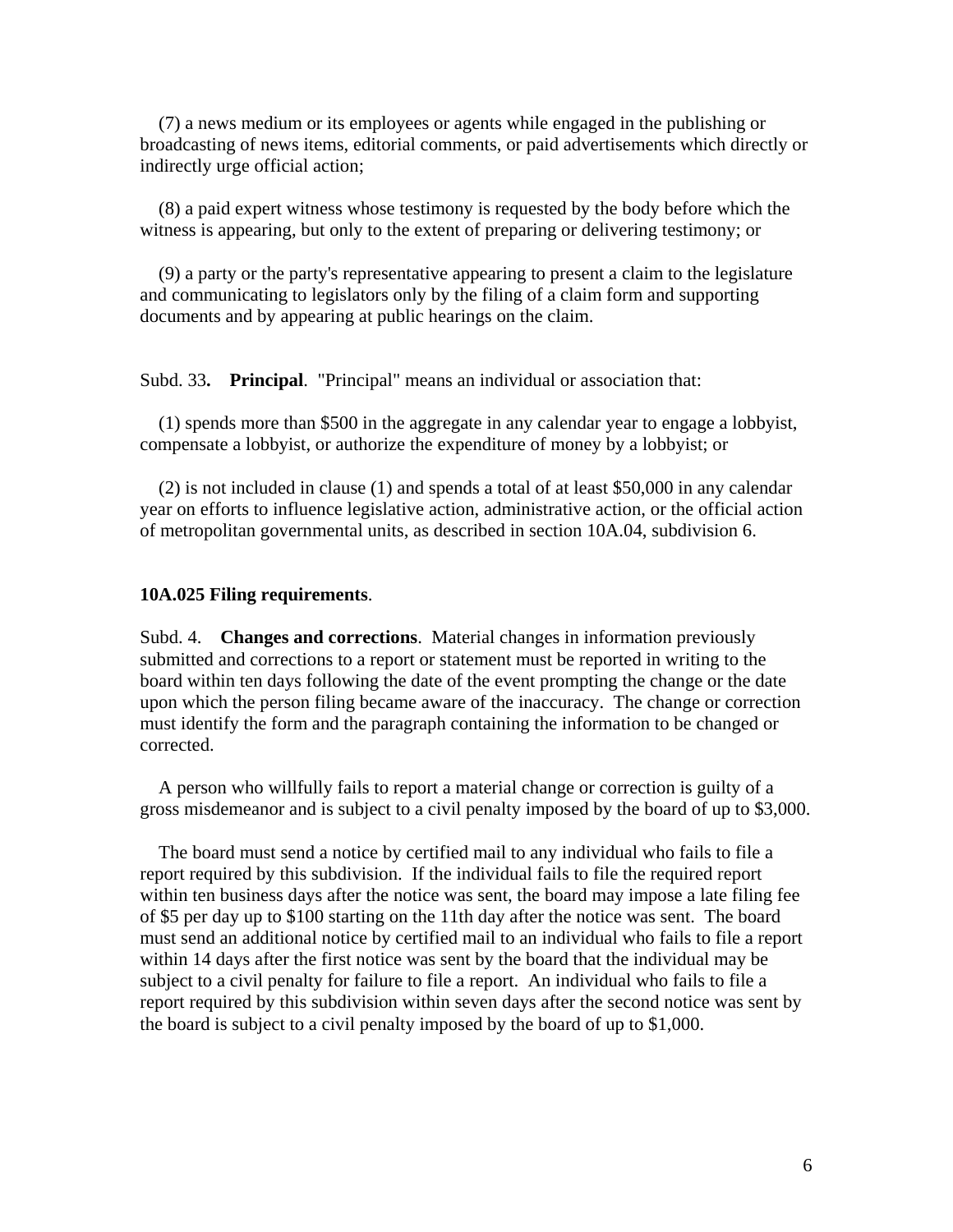(7) a news medium or its employees or agents while engaged in the publishing or broadcasting of news items, editorial comments, or paid advertisements which directly or indirectly urge official action;

 (8) a paid expert witness whose testimony is requested by the body before which the witness is appearing, but only to the extent of preparing or delivering testimony; or

 (9) a party or the party's representative appearing to present a claim to the legislature and communicating to legislators only by the filing of a claim form and supporting documents and by appearing at public hearings on the claim.

Subd. 33**. Principal**. "Principal" means an individual or association that:

 (1) spends more than \$500 in the aggregate in any calendar year to engage a lobbyist, compensate a lobbyist, or authorize the expenditure of money by a lobbyist; or

 (2) is not included in clause (1) and spends a total of at least \$50,000 in any calendar year on efforts to influence legislative action, administrative action, or the official action of metropolitan governmental units, as described in section 10A.04, subdivision 6.

### **10A.025 Filing requirements**.

Subd. 4. **Changes and corrections**. Material changes in information previously submitted and corrections to a report or statement must be reported in writing to the board within ten days following the date of the event prompting the change or the date upon which the person filing became aware of the inaccuracy. The change or correction must identify the form and the paragraph containing the information to be changed or corrected.

 A person who willfully fails to report a material change or correction is guilty of a gross misdemeanor and is subject to a civil penalty imposed by the board of up to \$3,000.

 The board must send a notice by certified mail to any individual who fails to file a report required by this subdivision. If the individual fails to file the required report within ten business days after the notice was sent, the board may impose a late filing fee of \$5 per day up to \$100 starting on the 11th day after the notice was sent. The board must send an additional notice by certified mail to an individual who fails to file a report within 14 days after the first notice was sent by the board that the individual may be subject to a civil penalty for failure to file a report. An individual who fails to file a report required by this subdivision within seven days after the second notice was sent by the board is subject to a civil penalty imposed by the board of up to \$1,000.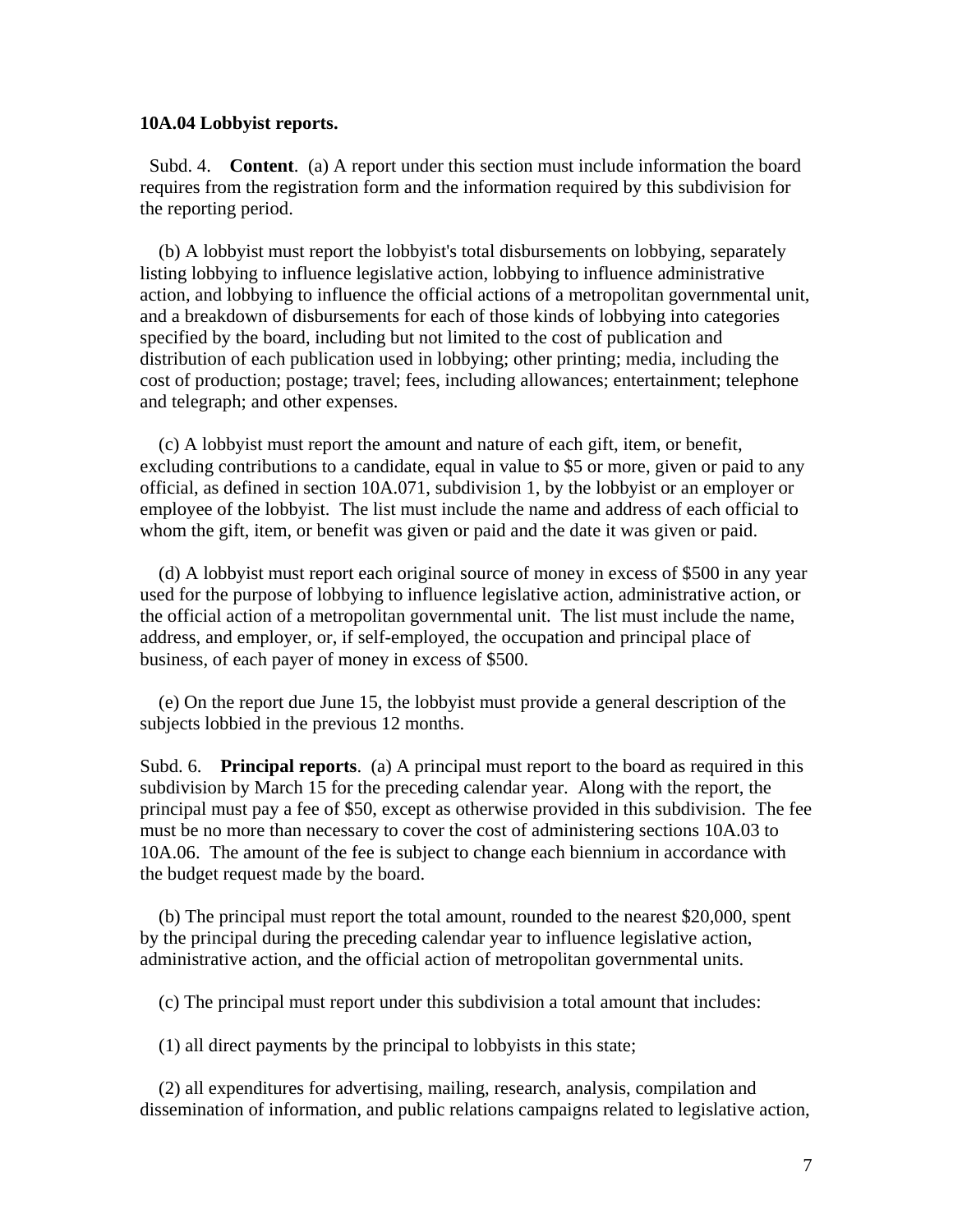#### **10A.04 Lobbyist reports.**

 Subd. 4. **Content**. (a) A report under this section must include information the board requires from the registration form and the information required by this subdivision for the reporting period.

 (b) A lobbyist must report the lobbyist's total disbursements on lobbying, separately listing lobbying to influence legislative action, lobbying to influence administrative action, and lobbying to influence the official actions of a metropolitan governmental unit, and a breakdown of disbursements for each of those kinds of lobbying into categories specified by the board, including but not limited to the cost of publication and distribution of each publication used in lobbying; other printing; media, including the cost of production; postage; travel; fees, including allowances; entertainment; telephone and telegraph; and other expenses.

 (c) A lobbyist must report the amount and nature of each gift, item, or benefit, excluding contributions to a candidate, equal in value to \$5 or more, given or paid to any official, as defined in section 10A.071, subdivision 1, by the lobbyist or an employer or employee of the lobbyist. The list must include the name and address of each official to whom the gift, item, or benefit was given or paid and the date it was given or paid.

 (d) A lobbyist must report each original source of money in excess of \$500 in any year used for the purpose of lobbying to influence legislative action, administrative action, or the official action of a metropolitan governmental unit. The list must include the name, address, and employer, or, if self-employed, the occupation and principal place of business, of each payer of money in excess of \$500.

 (e) On the report due June 15, the lobbyist must provide a general description of the subjects lobbied in the previous 12 months.

Subd. 6. **Principal reports**. (a) A principal must report to the board as required in this subdivision by March 15 for the preceding calendar year. Along with the report, the principal must pay a fee of \$50, except as otherwise provided in this subdivision. The fee must be no more than necessary to cover the cost of administering sections 10A.03 to 10A.06. The amount of the fee is subject to change each biennium in accordance with the budget request made by the board.

 (b) The principal must report the total amount, rounded to the nearest \$20,000, spent by the principal during the preceding calendar year to influence legislative action, administrative action, and the official action of metropolitan governmental units.

(c) The principal must report under this subdivision a total amount that includes:

(1) all direct payments by the principal to lobbyists in this state;

 (2) all expenditures for advertising, mailing, research, analysis, compilation and dissemination of information, and public relations campaigns related to legislative action,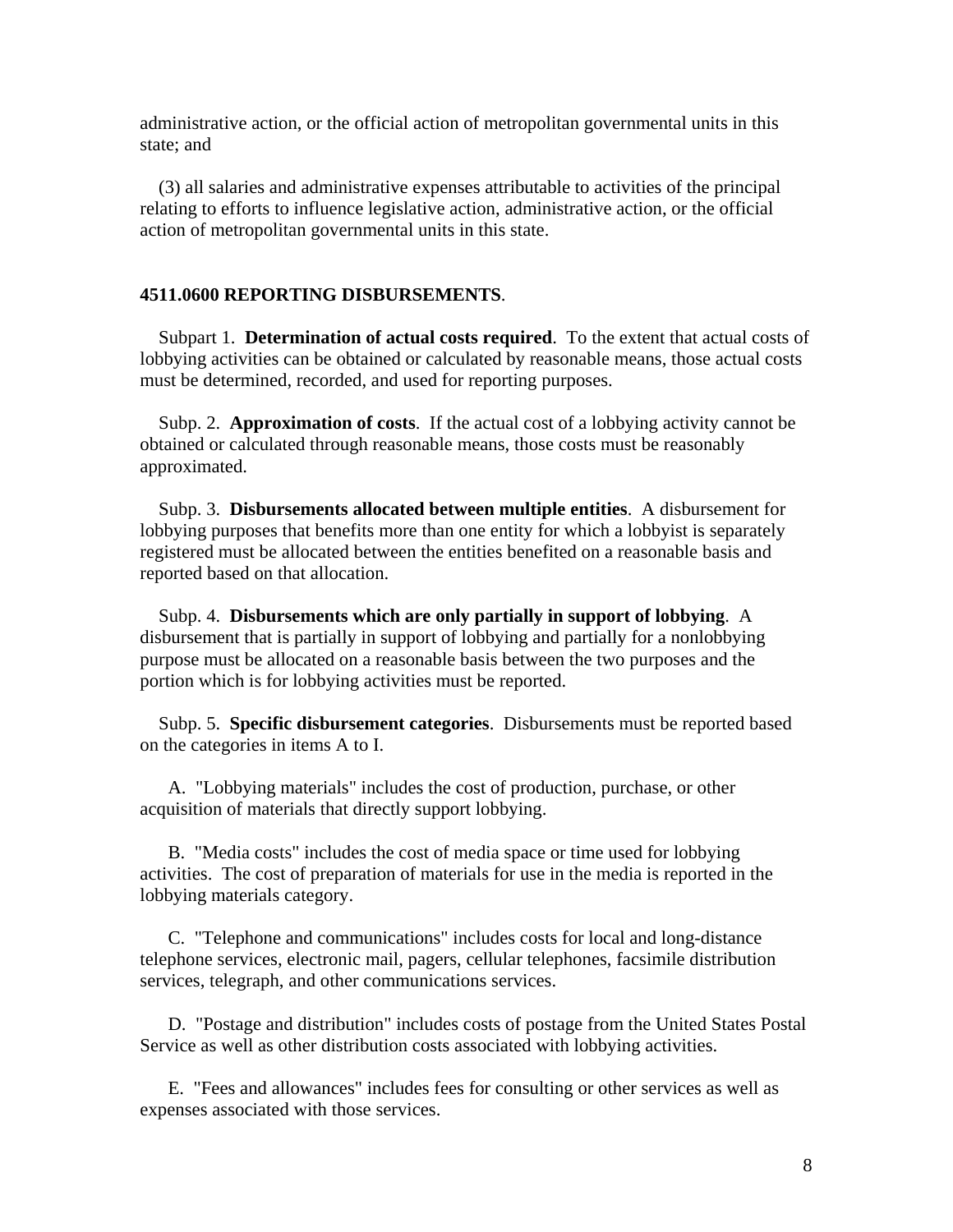administrative action, or the official action of metropolitan governmental units in this state; and

 (3) all salaries and administrative expenses attributable to activities of the principal relating to efforts to influence legislative action, administrative action, or the official action of metropolitan governmental units in this state.

### **4511.0600 REPORTING DISBURSEMENTS**.

 Subpart 1. **Determination of actual costs required**. To the extent that actual costs of lobbying activities can be obtained or calculated by reasonable means, those actual costs must be determined, recorded, and used for reporting purposes.

 Subp. 2. **Approximation of costs**. If the actual cost of a lobbying activity cannot be obtained or calculated through reasonable means, those costs must be reasonably approximated.

 Subp. 3. **Disbursements allocated between multiple entities**. A disbursement for lobbying purposes that benefits more than one entity for which a lobbyist is separately registered must be allocated between the entities benefited on a reasonable basis and reported based on that allocation.

 Subp. 4. **Disbursements which are only partially in support of lobbying**. A disbursement that is partially in support of lobbying and partially for a nonlobbying purpose must be allocated on a reasonable basis between the two purposes and the portion which is for lobbying activities must be reported.

 Subp. 5. **Specific disbursement categories**. Disbursements must be reported based on the categories in items A to I.

 A. "Lobbying materials" includes the cost of production, purchase, or other acquisition of materials that directly support lobbying.

 B. "Media costs" includes the cost of media space or time used for lobbying activities. The cost of preparation of materials for use in the media is reported in the lobbying materials category.

 C. "Telephone and communications" includes costs for local and long-distance telephone services, electronic mail, pagers, cellular telephones, facsimile distribution services, telegraph, and other communications services.

 D. "Postage and distribution" includes costs of postage from the United States Postal Service as well as other distribution costs associated with lobbying activities.

 E. "Fees and allowances" includes fees for consulting or other services as well as expenses associated with those services.